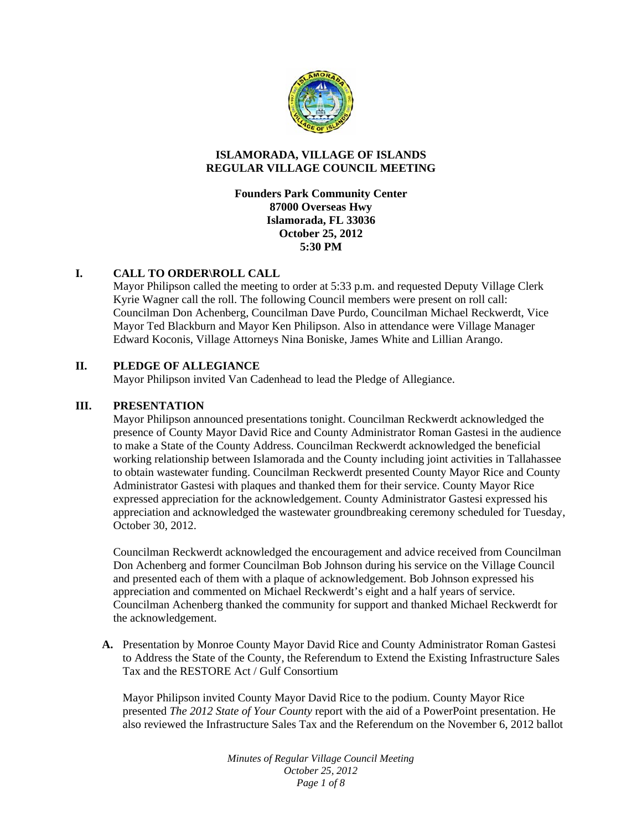

#### **ISLAMORADA, VILLAGE OF ISLANDS REGULAR VILLAGE COUNCIL MEETING**

**Founders Park Community Center 87000 Overseas Hwy Islamorada, FL 33036 October 25, 2012 5:30 PM** 

# **I. CALL TO ORDER\ROLL CALL**

Mayor Philipson called the meeting to order at 5:33 p.m. and requested Deputy Village Clerk Kyrie Wagner call the roll. The following Council members were present on roll call: Councilman Don Achenberg, Councilman Dave Purdo, Councilman Michael Reckwerdt, Vice Mayor Ted Blackburn and Mayor Ken Philipson. Also in attendance were Village Manager Edward Koconis, Village Attorneys Nina Boniske, James White and Lillian Arango.

## **II. PLEDGE OF ALLEGIANCE**

Mayor Philipson invited Van Cadenhead to lead the Pledge of Allegiance.

## **III. PRESENTATION**

Mayor Philipson announced presentations tonight. Councilman Reckwerdt acknowledged the presence of County Mayor David Rice and County Administrator Roman Gastesi in the audience to make a State of the County Address. Councilman Reckwerdt acknowledged the beneficial working relationship between Islamorada and the County including joint activities in Tallahassee to obtain wastewater funding. Councilman Reckwerdt presented County Mayor Rice and County Administrator Gastesi with plaques and thanked them for their service. County Mayor Rice expressed appreciation for the acknowledgement. County Administrator Gastesi expressed his appreciation and acknowledged the wastewater groundbreaking ceremony scheduled for Tuesday, October 30, 2012.

Councilman Reckwerdt acknowledged the encouragement and advice received from Councilman Don Achenberg and former Councilman Bob Johnson during his service on the Village Council and presented each of them with a plaque of acknowledgement. Bob Johnson expressed his appreciation and commented on Michael Reckwerdt's eight and a half years of service. Councilman Achenberg thanked the community for support and thanked Michael Reckwerdt for the acknowledgement.

**A.** Presentation by Monroe County Mayor David Rice and County Administrator Roman Gastesi to Address the State of the County, the Referendum to Extend the Existing Infrastructure Sales Tax and the RESTORE Act / Gulf Consortium

 Mayor Philipson invited County Mayor David Rice to the podium. County Mayor Rice presented *The 2012 State of Your County* report with the aid of a PowerPoint presentation. He also reviewed the Infrastructure Sales Tax and the Referendum on the November 6, 2012 ballot

> *Minutes of Regular Village Council Meeting October 25, 2012 Page 1 of 8*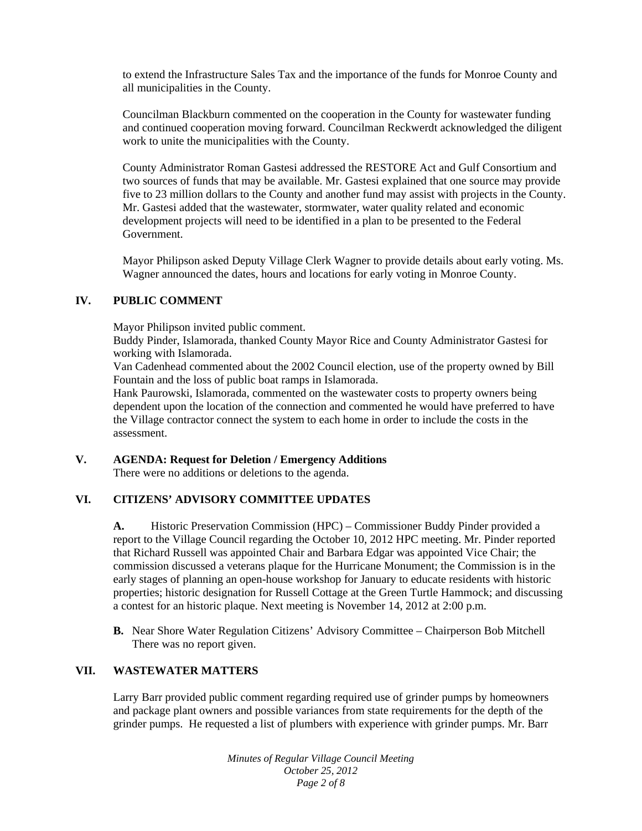to extend the Infrastructure Sales Tax and the importance of the funds for Monroe County and all municipalities in the County.

Councilman Blackburn commented on the cooperation in the County for wastewater funding and continued cooperation moving forward. Councilman Reckwerdt acknowledged the diligent work to unite the municipalities with the County.

County Administrator Roman Gastesi addressed the RESTORE Act and Gulf Consortium and two sources of funds that may be available. Mr. Gastesi explained that one source may provide five to 23 million dollars to the County and another fund may assist with projects in the County. Mr. Gastesi added that the wastewater, stormwater, water quality related and economic development projects will need to be identified in a plan to be presented to the Federal Government.

Mayor Philipson asked Deputy Village Clerk Wagner to provide details about early voting. Ms. Wagner announced the dates, hours and locations for early voting in Monroe County.

## **IV. PUBLIC COMMENT**

Mayor Philipson invited public comment.

Buddy Pinder, Islamorada, thanked County Mayor Rice and County Administrator Gastesi for working with Islamorada.

Van Cadenhead commented about the 2002 Council election, use of the property owned by Bill Fountain and the loss of public boat ramps in Islamorada.

Hank Paurowski, Islamorada, commented on the wastewater costs to property owners being dependent upon the location of the connection and commented he would have preferred to have the Village contractor connect the system to each home in order to include the costs in the assessment.

## **V. AGENDA: Request for Deletion / Emergency Additions**

There were no additions or deletions to the agenda.

## **VI. CITIZENS' ADVISORY COMMITTEE UPDATES**

**A.** Historic Preservation Commission (HPC) – Commissioner Buddy Pinder provided a report to the Village Council regarding the October 10, 2012 HPC meeting. Mr. Pinder reported that Richard Russell was appointed Chair and Barbara Edgar was appointed Vice Chair; the commission discussed a veterans plaque for the Hurricane Monument; the Commission is in the early stages of planning an open-house workshop for January to educate residents with historic properties; historic designation for Russell Cottage at the Green Turtle Hammock; and discussing a contest for an historic plaque. Next meeting is November 14, 2012 at 2:00 p.m.

**B.** Near Shore Water Regulation Citizens' Advisory Committee – Chairperson Bob Mitchell There was no report given.

## **VII. WASTEWATER MATTERS**

Larry Barr provided public comment regarding required use of grinder pumps by homeowners and package plant owners and possible variances from state requirements for the depth of the grinder pumps. He requested a list of plumbers with experience with grinder pumps. Mr. Barr

> *Minutes of Regular Village Council Meeting October 25, 2012 Page 2 of 8*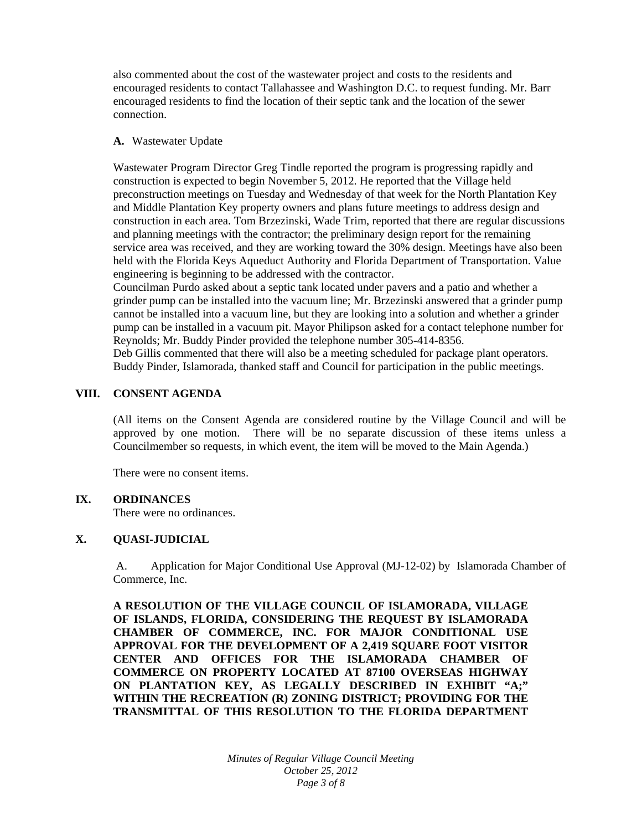also commented about the cost of the wastewater project and costs to the residents and encouraged residents to contact Tallahassee and Washington D.C. to request funding. Mr. Barr encouraged residents to find the location of their septic tank and the location of the sewer connection.

#### **A.** Wastewater Update

Wastewater Program Director Greg Tindle reported the program is progressing rapidly and construction is expected to begin November 5, 2012. He reported that the Village held preconstruction meetings on Tuesday and Wednesday of that week for the North Plantation Key and Middle Plantation Key property owners and plans future meetings to address design and construction in each area. Tom Brzezinski, Wade Trim, reported that there are regular discussions and planning meetings with the contractor; the preliminary design report for the remaining service area was received, and they are working toward the 30% design. Meetings have also been held with the Florida Keys Aqueduct Authority and Florida Department of Transportation. Value engineering is beginning to be addressed with the contractor.

Councilman Purdo asked about a septic tank located under pavers and a patio and whether a grinder pump can be installed into the vacuum line; Mr. Brzezinski answered that a grinder pump cannot be installed into a vacuum line, but they are looking into a solution and whether a grinder pump can be installed in a vacuum pit. Mayor Philipson asked for a contact telephone number for Reynolds; Mr. Buddy Pinder provided the telephone number 305-414-8356.

Deb Gillis commented that there will also be a meeting scheduled for package plant operators. Buddy Pinder, Islamorada, thanked staff and Council for participation in the public meetings.

#### **VIII. CONSENT AGENDA**

(All items on the Consent Agenda are considered routine by the Village Council and will be approved by one motion. There will be no separate discussion of these items unless a Councilmember so requests, in which event, the item will be moved to the Main Agenda.)

There were no consent items.

## **IX. ORDINANCES**

There were no ordinances.

## **X. QUASI-JUDICIAL**

A. Application for Major Conditional Use Approval (MJ-12-02) by Islamorada Chamber of Commerce, Inc.

**A RESOLUTION OF THE VILLAGE COUNCIL OF ISLAMORADA, VILLAGE OF ISLANDS, FLORIDA, CONSIDERING THE REQUEST BY ISLAMORADA CHAMBER OF COMMERCE, INC. FOR MAJOR CONDITIONAL USE APPROVAL FOR THE DEVELOPMENT OF A 2,419 SQUARE FOOT VISITOR CENTER AND OFFICES FOR THE ISLAMORADA CHAMBER OF COMMERCE ON PROPERTY LOCATED AT 87100 OVERSEAS HIGHWAY ON PLANTATION KEY, AS LEGALLY DESCRIBED IN EXHIBIT "A;" WITHIN THE RECREATION (R) ZONING DISTRICT; PROVIDING FOR THE TRANSMITTAL OF THIS RESOLUTION TO THE FLORIDA DEPARTMENT** 

> *Minutes of Regular Village Council Meeting October 25, 2012 Page 3 of 8*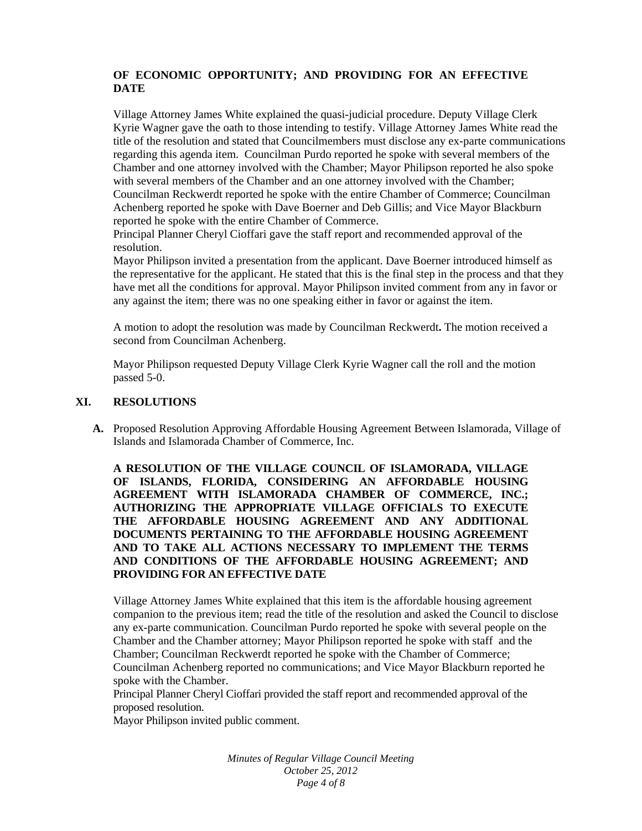# **OF ECONOMIC OPPORTUNITY; AND PROVIDING FOR AN EFFECTIVE DATE**

Village Attorney James White explained the quasi-judicial procedure. Deputy Village Clerk Kyrie Wagner gave the oath to those intending to testify. Village Attorney James White read the title of the resolution and stated that Councilmembers must disclose any ex-parte communications regarding this agenda item. Councilman Purdo reported he spoke with several members of the Chamber and one attorney involved with the Chamber; Mayor Philipson reported he also spoke with several members of the Chamber and an one attorney involved with the Chamber; Councilman Reckwerdt reported he spoke with the entire Chamber of Commerce; Councilman Achenberg reported he spoke with Dave Boerner and Deb Gillis; and Vice Mayor Blackburn reported he spoke with the entire Chamber of Commerce.

Principal Planner Cheryl Cioffari gave the staff report and recommended approval of the resolution.

Mayor Philipson invited a presentation from the applicant. Dave Boerner introduced himself as the representative for the applicant. He stated that this is the final step in the process and that they have met all the conditions for approval. Mayor Philipson invited comment from any in favor or any against the item; there was no one speaking either in favor or against the item.

A motion to adopt the resolution was made by Councilman Reckwerdt**.** The motion received a second from Councilman Achenberg.

Mayor Philipson requested Deputy Village Clerk Kyrie Wagner call the roll and the motion passed 5-0.

#### **XI. RESOLUTIONS**

**A.** Proposed Resolution Approving Affordable Housing Agreement Between Islamorada, Village of Islands and Islamorada Chamber of Commerce, Inc.

**A RESOLUTION OF THE VILLAGE COUNCIL OF ISLAMORADA, VILLAGE OF ISLANDS, FLORIDA, CONSIDERING AN AFFORDABLE HOUSING AGREEMENT WITH ISLAMORADA CHAMBER OF COMMERCE, INC.; AUTHORIZING THE APPROPRIATE VILLAGE OFFICIALS TO EXECUTE THE AFFORDABLE HOUSING AGREEMENT AND ANY ADDITIONAL DOCUMENTS PERTAINING TO THE AFFORDABLE HOUSING AGREEMENT AND TO TAKE ALL ACTIONS NECESSARY TO IMPLEMENT THE TERMS AND CONDITIONS OF THE AFFORDABLE HOUSING AGREEMENT; AND PROVIDING FOR AN EFFECTIVE DATE** 

Village Attorney James White explained that this item is the affordable housing agreement companion to the previous item; read the title of the resolution and asked the Council to disclose any ex-parte communication. Councilman Purdo reported he spoke with several people on the Chamber and the Chamber attorney; Mayor Philipson reported he spoke with staff and the Chamber; Councilman Reckwerdt reported he spoke with the Chamber of Commerce; Councilman Achenberg reported no communications; and Vice Mayor Blackburn reported he spoke with the Chamber.

Principal Planner Cheryl Cioffari provided the staff report and recommended approval of the proposed resolution.

Mayor Philipson invited public comment.

*Minutes of Regular Village Council Meeting October 25, 2012 Page 4 of 8*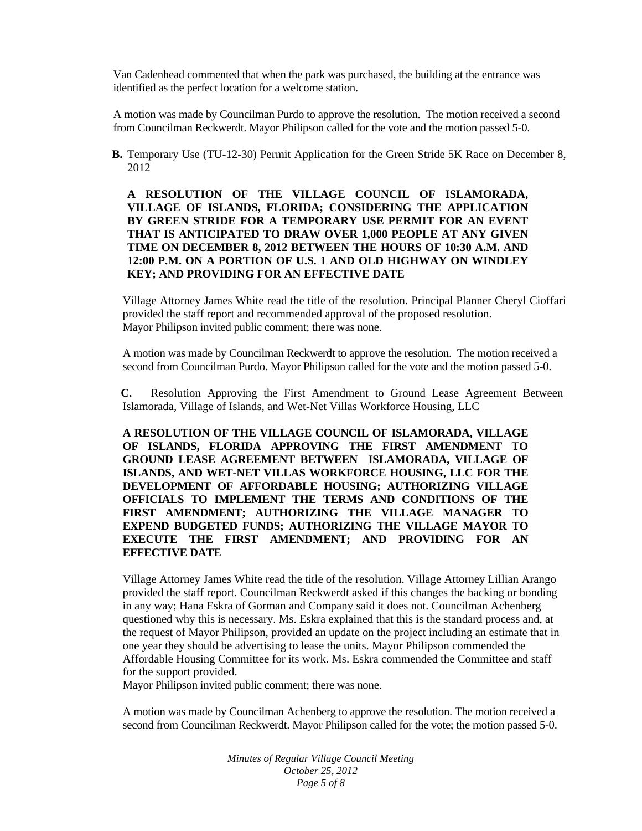Van Cadenhead commented that when the park was purchased, the building at the entrance was identified as the perfect location for a welcome station.

A motion was made by Councilman Purdo to approve the resolution. The motion received a second from Councilman Reckwerdt. Mayor Philipson called for the vote and the motion passed 5-0.

**B.** Temporary Use (TU-12-30) Permit Application for the Green Stride 5K Race on December 8, 2012

## **A RESOLUTION OF THE VILLAGE COUNCIL OF ISLAMORADA, VILLAGE OF ISLANDS, FLORIDA; CONSIDERING THE APPLICATION BY GREEN STRIDE FOR A TEMPORARY USE PERMIT FOR AN EVENT THAT IS ANTICIPATED TO DRAW OVER 1,000 PEOPLE AT ANY GIVEN TIME ON DECEMBER 8, 2012 BETWEEN THE HOURS OF 10:30 A.M. AND 12:00 P.M. ON A PORTION OF U.S. 1 AND OLD HIGHWAY ON WINDLEY KEY; AND PROVIDING FOR AN EFFECTIVE DATE**

Village Attorney James White read the title of the resolution. Principal Planner Cheryl Cioffari provided the staff report and recommended approval of the proposed resolution. Mayor Philipson invited public comment; there was none.

A motion was made by Councilman Reckwerdt to approve the resolution. The motion received a second from Councilman Purdo. Mayor Philipson called for the vote and the motion passed 5-0.

**C.** Resolution Approving the First Amendment to Ground Lease Agreement Between Islamorada, Village of Islands, and Wet-Net Villas Workforce Housing, LLC

**A RESOLUTION OF THE VILLAGE COUNCIL OF ISLAMORADA, VILLAGE OF ISLANDS, FLORIDA APPROVING THE FIRST AMENDMENT TO GROUND LEASE AGREEMENT BETWEEN ISLAMORADA, VILLAGE OF ISLANDS, AND WET-NET VILLAS WORKFORCE HOUSING, LLC FOR THE DEVELOPMENT OF AFFORDABLE HOUSING; AUTHORIZING VILLAGE OFFICIALS TO IMPLEMENT THE TERMS AND CONDITIONS OF THE FIRST AMENDMENT; AUTHORIZING THE VILLAGE MANAGER TO EXPEND BUDGETED FUNDS; AUTHORIZING THE VILLAGE MAYOR TO EXECUTE THE FIRST AMENDMENT; AND PROVIDING FOR AN EFFECTIVE DATE** 

Village Attorney James White read the title of the resolution. Village Attorney Lillian Arango provided the staff report. Councilman Reckwerdt asked if this changes the backing or bonding in any way; Hana Eskra of Gorman and Company said it does not. Councilman Achenberg questioned why this is necessary. Ms. Eskra explained that this is the standard process and, at the request of Mayor Philipson, provided an update on the project including an estimate that in one year they should be advertising to lease the units. Mayor Philipson commended the Affordable Housing Committee for its work. Ms. Eskra commended the Committee and staff for the support provided.

Mayor Philipson invited public comment; there was none.

A motion was made by Councilman Achenberg to approve the resolution. The motion received a second from Councilman Reckwerdt. Mayor Philipson called for the vote; the motion passed 5-0.

> *Minutes of Regular Village Council Meeting October 25, 2012 Page 5 of 8*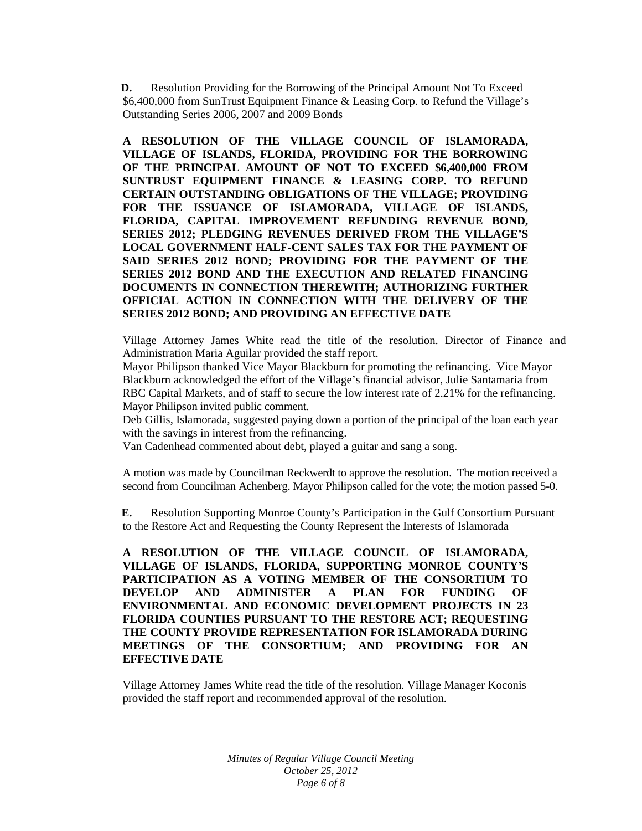**D.** Resolution Providing for the Borrowing of the Principal Amount Not To Exceed \$6,400,000 from SunTrust Equipment Finance & Leasing Corp. to Refund the Village's Outstanding Series 2006, 2007 and 2009 Bonds

**A RESOLUTION OF THE VILLAGE COUNCIL OF ISLAMORADA, VILLAGE OF ISLANDS, FLORIDA, PROVIDING FOR THE BORROWING OF THE PRINCIPAL AMOUNT OF NOT TO EXCEED \$6,400,000 FROM SUNTRUST EQUIPMENT FINANCE & LEASING CORP. TO REFUND CERTAIN OUTSTANDING OBLIGATIONS OF THE VILLAGE; PROVIDING FOR THE ISSUANCE OF ISLAMORADA, VILLAGE OF ISLANDS, FLORIDA, CAPITAL IMPROVEMENT REFUNDING REVENUE BOND, SERIES 2012; PLEDGING REVENUES DERIVED FROM THE VILLAGE'S LOCAL GOVERNMENT HALF-CENT SALES TAX FOR THE PAYMENT OF SAID SERIES 2012 BOND; PROVIDING FOR THE PAYMENT OF THE SERIES 2012 BOND AND THE EXECUTION AND RELATED FINANCING DOCUMENTS IN CONNECTION THEREWITH; AUTHORIZING FURTHER OFFICIAL ACTION IN CONNECTION WITH THE DELIVERY OF THE SERIES 2012 BOND; AND PROVIDING AN EFFECTIVE DATE** 

Village Attorney James White read the title of the resolution. Director of Finance and Administration Maria Aguilar provided the staff report.

Mayor Philipson thanked Vice Mayor Blackburn for promoting the refinancing. Vice Mayor Blackburn acknowledged the effort of the Village's financial advisor, Julie Santamaria from RBC Capital Markets, and of staff to secure the low interest rate of 2.21% for the refinancing. Mayor Philipson invited public comment.

Deb Gillis, Islamorada, suggested paying down a portion of the principal of the loan each year with the savings in interest from the refinancing.

Van Cadenhead commented about debt, played a guitar and sang a song.

A motion was made by Councilman Reckwerdt to approve the resolution. The motion received a second from Councilman Achenberg. Mayor Philipson called for the vote; the motion passed 5-0.

**E.** Resolution Supporting Monroe County's Participation in the Gulf Consortium Pursuant to the Restore Act and Requesting the County Represent the Interests of Islamorada

**A RESOLUTION OF THE VILLAGE COUNCIL OF ISLAMORADA, VILLAGE OF ISLANDS, FLORIDA, SUPPORTING MONROE COUNTY'S PARTICIPATION AS A VOTING MEMBER OF THE CONSORTIUM TO DEVELOP AND ADMINISTER A PLAN FOR FUNDING OF ENVIRONMENTAL AND ECONOMIC DEVELOPMENT PROJECTS IN 23 FLORIDA COUNTIES PURSUANT TO THE RESTORE ACT; REQUESTING THE COUNTY PROVIDE REPRESENTATION FOR ISLAMORADA DURING MEETINGS OF THE CONSORTIUM; AND PROVIDING FOR AN EFFECTIVE DATE** 

Village Attorney James White read the title of the resolution. Village Manager Koconis provided the staff report and recommended approval of the resolution.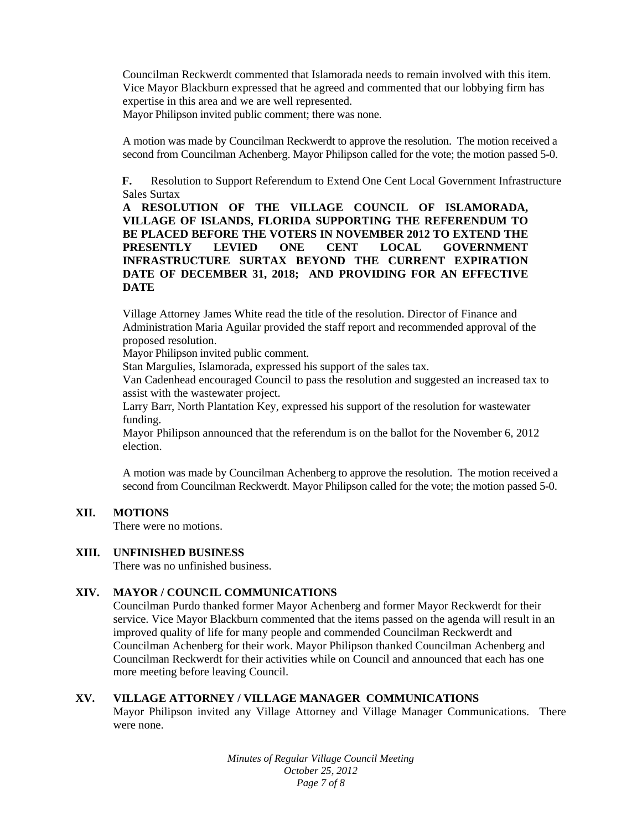Councilman Reckwerdt commented that Islamorada needs to remain involved with this item. Vice Mayor Blackburn expressed that he agreed and commented that our lobbying firm has expertise in this area and we are well represented. Mayor Philipson invited public comment; there was none.

A motion was made by Councilman Reckwerdt to approve the resolution. The motion received a second from Councilman Achenberg. Mayor Philipson called for the vote; the motion passed 5-0.

**F.** Resolution to Support Referendum to Extend One Cent Local Government Infrastructure Sales Surtax

**A RESOLUTION OF THE VILLAGE COUNCIL OF ISLAMORADA, VILLAGE OF ISLANDS, FLORIDA SUPPORTING THE REFERENDUM TO BE PLACED BEFORE THE VOTERS IN NOVEMBER 2012 TO EXTEND THE PRESENTLY LEVIED ONE CENT LOCAL GOVERNMENT INFRASTRUCTURE SURTAX BEYOND THE CURRENT EXPIRATION DATE OF DECEMBER 31, 2018; AND PROVIDING FOR AN EFFECTIVE DATE** 

Village Attorney James White read the title of the resolution. Director of Finance and Administration Maria Aguilar provided the staff report and recommended approval of the proposed resolution.

Mayor Philipson invited public comment.

Stan Margulies, Islamorada, expressed his support of the sales tax.

Van Cadenhead encouraged Council to pass the resolution and suggested an increased tax to assist with the wastewater project.

Larry Barr, North Plantation Key, expressed his support of the resolution for wastewater funding.

Mayor Philipson announced that the referendum is on the ballot for the November 6, 2012 election.

A motion was made by Councilman Achenberg to approve the resolution. The motion received a second from Councilman Reckwerdt. Mayor Philipson called for the vote; the motion passed 5-0.

## **XII. MOTIONS**

There were no motions.

#### **XIII. UNFINISHED BUSINESS**

There was no unfinished business.

## **XIV. MAYOR / COUNCIL COMMUNICATIONS**

Councilman Purdo thanked former Mayor Achenberg and former Mayor Reckwerdt for their service. Vice Mayor Blackburn commented that the items passed on the agenda will result in an improved quality of life for many people and commended Councilman Reckwerdt and Councilman Achenberg for their work. Mayor Philipson thanked Councilman Achenberg and Councilman Reckwerdt for their activities while on Council and announced that each has one more meeting before leaving Council.

## **XV. VILLAGE ATTORNEY / VILLAGE MANAGER COMMUNICATIONS**

Mayor Philipson invited any Village Attorney and Village Manager Communications. There were none.

> *Minutes of Regular Village Council Meeting October 25, 2012 Page 7 of 8*